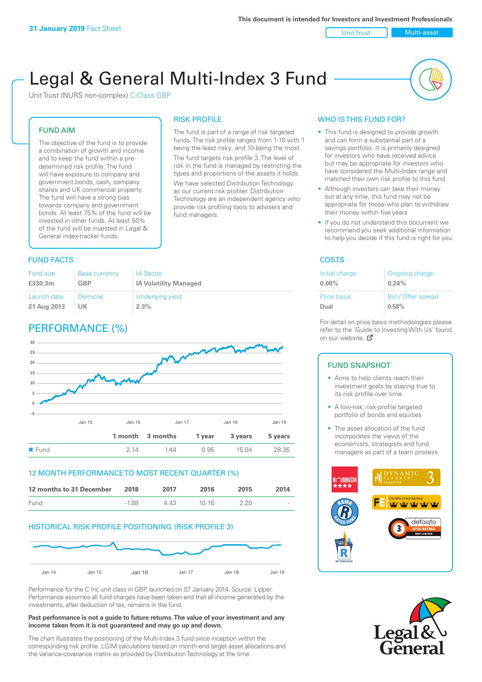Unit Trust Nulti-asset

# Legal & General Multi-Index 3 Fund

RISK PROFILE

fund managers.

The fund is part of a range of risk targeted funds. The risk profile ranges from 1-10 with 1 being the least risky, and 10 being the most. The fund targets risk profile 3. The level of risk in the fund is managed by restricting the types and proportions of the assets it holds. We have selected Distribution Technology as our current risk profiler. Distribution Technology are an independent agency who provide risk profiling tools to advisers and

Unit Trust (NURS non-complex) C-Class GBP

#### FUND AIM

The objective of the fund is to provide a combination of growth and income and to keep the fund within a predetermined risk profile. The fund will have exposure to company and government bonds, cash, company shares and UK commercial property. The fund will have a strong bias towards company and government bonds. At least 75% of the fund will be invested in other funds. At least 50% of the fund will be invested in Legal & General index-tracker funds.

### **FUND FACTS** COSTS

| Fund size   | <b>Base currency</b> | <b>IA Sector</b>             |
|-------------|----------------------|------------------------------|
| £330.3m     | <b>GBP</b>           | <b>IA Volatility Managed</b> |
| Launch date | Domicile             | Underlying yield             |
| 21 Aug 2013 | UK                   | 2.3%                         |

# PERFORMANCE (%)



#### 12 MONTH PERFORMANCE TO MOST RECENT QUARTER (%)

| 12 months to 31 December | 2018    | 2017 | 2016  | 2015 | 2014   |
|--------------------------|---------|------|-------|------|--------|
| Fund                     | $-1.88$ | 4 43 | 10.16 | 2.20 | $\sim$ |

#### HISTORICAL RISK PROFILE POSITIONING (RISK PROFILE 3)



Performance for the C Inc unit class in GBP, launched on 07 January 2014. Source: Lipper. Performance assumes all fund charges have been taken and that all income generated by the investments, after deduction of tax, remains in the fund.

#### **Past performance is not a guide to future returns. The value of your investment and any income taken from it is not guaranteed and may go up and down.**

The chart illustrates the positioning of the Multi-Index 3 fund since inception within the corresponding risk profile. LGIM calculations based on month-end target asset allocations and the variance-covariance matrix as provided by Distribution Technology at the time.

#### WHO IS THIS FUND FOR?

- This fund is designed to provide growth and can form a substantial part of a savings portfolio. It is primarily designed for investors who have received advice but may be appropriate for investors who have considered the Multi-Index range and matched their own risk profile to this fund
- Although investors can take their money out at any time, this fund may not be appropriate for those who plan to withdraw their money within five years
- If you do not understand this document we recommend you seek additional information to help you decide if this fund is right for you

| Initial charge     | Ongoing charge     |
|--------------------|--------------------|
| $0.00\%$           | 0.24%              |
| <b>Price basis</b> | Bid / Offer spread |
| Dual               | 0.58%              |

For detail on price basis methodologies please refer to the 'Gu[ide t](http://www.legalandgeneral.com/guide)o Investing With Us' found on our website. Ø

#### FUND SNAPSHOT

- Aims to help clients reach their investment goals by staying true to its risk profile over time
- A low-risk, risk-profile targeted portfolio of bonds and equities
- The asset allocation of the fund incorporates the views of the economists, strategists and fund managers as part of a team process



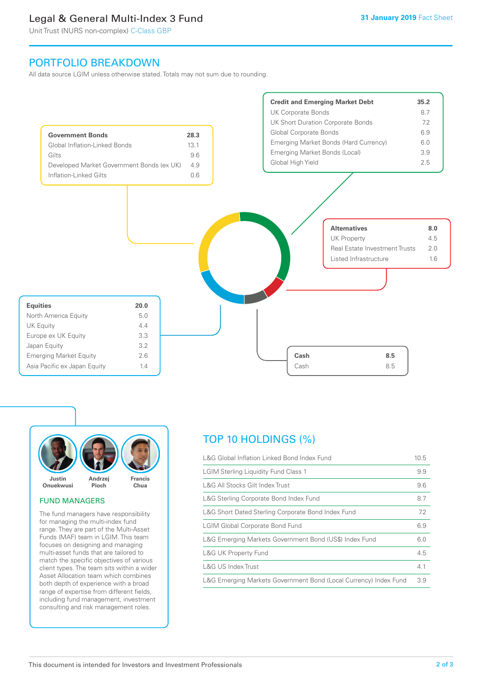# Legal & General Multi-Index 3 Fund

Unit Trust (NURS non-complex) C-Class GBP

## PORTFOLIO BREAKDOWN

All data source LGIM unless otherwise stated. Totals may not sum due to rounding.





#### FUND MANAGERS

The fund managers have responsibility for managing the multi-index fund range. They are part of the Multi-Asset Funds (MAF) team in LGIM. This team focuses on designing and managing multi-asset funds that are tailored to match the specific objectives of various client types. The team sits within a wider Asset Allocation team which combines both depth of experience with a broad range of expertise from different fields, including fund management, investment consulting and risk management roles.

# TOP 10 HOLDINGS (%)

| L&G Global Inflation Linked Bond Index Fund                      | 10.5 |
|------------------------------------------------------------------|------|
| <b>LGIM Sterling Liquidity Fund Class 1</b>                      | 9.9  |
| L&G All Stocks Gilt Index Trust                                  | 9.6  |
| L&G Sterling Corporate Bond Index Fund                           | 8.7  |
| L&G Short Dated Sterling Corporate Bond Index Fund               | 7.2  |
| <b>LGIM Global Corporate Bond Fund</b>                           | 6.9  |
| L&G Emerging Markets Government Bond (US\$) Index Fund           | 6.0  |
| <b>L&amp;G UK Property Fund</b>                                  | 4.5  |
| L&G US Index Trust                                               | 4.1  |
| L&G Emerging Markets Government Bond (Local Currency) Index Fund | 3.9  |